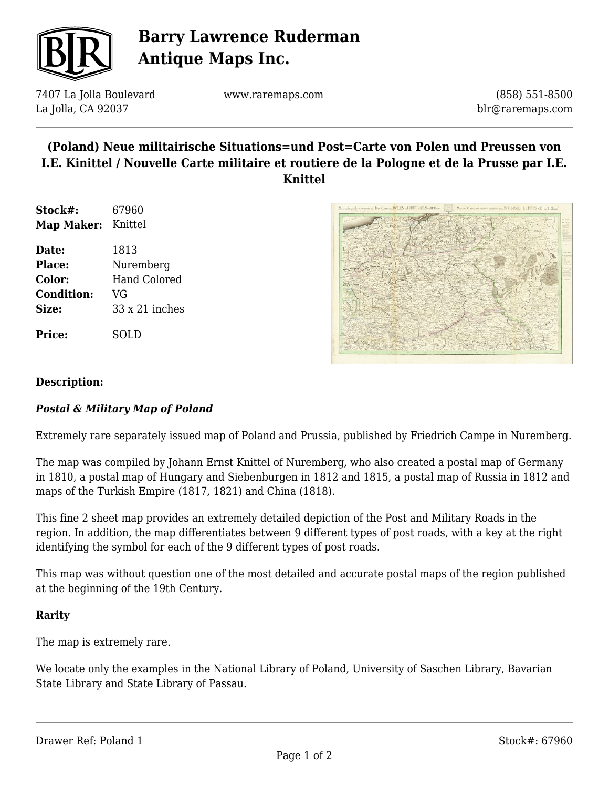

# **Barry Lawrence Ruderman Antique Maps Inc.**

7407 La Jolla Boulevard La Jolla, CA 92037

www.raremaps.com

(858) 551-8500 blr@raremaps.com

### **(Poland) Neue militairische Situations=und Post=Carte von Polen und Preussen von I.E. Kinittel / Nouvelle Carte militaire et routiere de la Pologne et de la Prusse par I.E. Knittel**

- **Stock#:** 67960 **Map Maker:** Knittel
- **Date:** 1813 **Place:** Nuremberg **Color:** Hand Colored **Condition:** VG **Size:** 33 x 21 inches

**Price:** SOLD



### **Description:**

### *Postal & Military Map of Poland*

Extremely rare separately issued map of Poland and Prussia, published by Friedrich Campe in Nuremberg.

The map was compiled by Johann Ernst Knittel of Nuremberg, who also created a postal map of Germany in 1810, a postal map of Hungary and Siebenburgen in 1812 and 1815, a postal map of Russia in 1812 and maps of the Turkish Empire (1817, 1821) and China (1818).

This fine 2 sheet map provides an extremely detailed depiction of the Post and Military Roads in the region. In addition, the map differentiates between 9 different types of post roads, with a key at the right identifying the symbol for each of the 9 different types of post roads.

This map was without question one of the most detailed and accurate postal maps of the region published at the beginning of the 19th Century.

#### **Rarity**

The map is extremely rare.

We locate only the examples in the National Library of Poland, University of Saschen Library, Bavarian State Library and State Library of Passau.